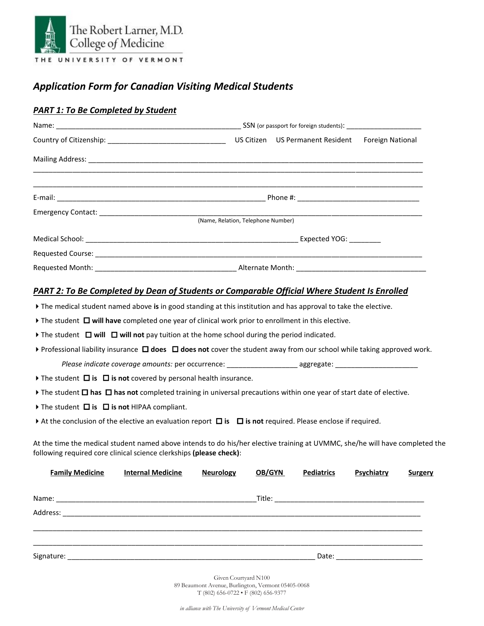

## *Application Form for Canadian Visiting Medical Students*

## *PART 1: To Be Completed by Student*

|                                                                                                                                                                                                                                                                                                                                 |                                                                                                                |                                    |               |                   | <b>Foreign National</b> |         |
|---------------------------------------------------------------------------------------------------------------------------------------------------------------------------------------------------------------------------------------------------------------------------------------------------------------------------------|----------------------------------------------------------------------------------------------------------------|------------------------------------|---------------|-------------------|-------------------------|---------|
|                                                                                                                                                                                                                                                                                                                                 |                                                                                                                |                                    |               |                   |                         |         |
|                                                                                                                                                                                                                                                                                                                                 |                                                                                                                |                                    |               |                   |                         |         |
|                                                                                                                                                                                                                                                                                                                                 |                                                                                                                | (Name, Relation, Telephone Number) |               |                   |                         |         |
|                                                                                                                                                                                                                                                                                                                                 |                                                                                                                |                                    |               |                   |                         |         |
|                                                                                                                                                                                                                                                                                                                                 |                                                                                                                |                                    |               |                   |                         |         |
|                                                                                                                                                                                                                                                                                                                                 |                                                                                                                |                                    |               |                   |                         |         |
|                                                                                                                                                                                                                                                                                                                                 |                                                                                                                |                                    |               |                   |                         |         |
| <b>PART 2: To Be Completed by Dean of Students or Comparable Official Where Student Is Enrolled</b><br>The medical student named above is in good standing at this institution and has approval to take the elective.<br>The student $\Box$ will have completed one year of clinical work prior to enrollment in this elective. |                                                                                                                |                                    |               |                   |                         |         |
| The student $\Box$ will $\Box$ will not pay tuition at the home school during the period indicated.                                                                                                                                                                                                                             |                                                                                                                |                                    |               |                   |                         |         |
| ▶ Professional liability insurance $\Box$ does $\Box$ does not cover the student away from our school while taking approved work.                                                                                                                                                                                               |                                                                                                                |                                    |               |                   |                         |         |
|                                                                                                                                                                                                                                                                                                                                 | Please indicate coverage amounts: per occurrence: _________________________ aggregate: _______________________ |                                    |               |                   |                         |         |
| The student $\Box$ is $\Box$ is not covered by personal health insurance.                                                                                                                                                                                                                                                       |                                                                                                                |                                    |               |                   |                         |         |
| The student $\Box$ has $\Box$ has not completed training in universal precautions within one year of start date of elective.                                                                                                                                                                                                    |                                                                                                                |                                    |               |                   |                         |         |
| The student $\Box$ is $\Box$ is not HIPAA compliant.                                                                                                                                                                                                                                                                            |                                                                                                                |                                    |               |                   |                         |         |
| At the conclusion of the elective an evaluation report $\Box$ is $\Box$ is not required. Please enclose if required.                                                                                                                                                                                                            |                                                                                                                |                                    |               |                   |                         |         |
| At the time the medical student named above intends to do his/her elective training at UVMMC, she/he will have completed the<br>following required core clinical science clerkships (please check):                                                                                                                             |                                                                                                                |                                    |               |                   |                         |         |
| <b>Family Medicine</b>                                                                                                                                                                                                                                                                                                          | <b>Internal Medicine</b>                                                                                       | <b>Neurology</b>                   | <b>OB/GYN</b> | <b>Pediatrics</b> | Psychiatry              | Surgery |
|                                                                                                                                                                                                                                                                                                                                 |                                                                                                                |                                    |               |                   |                         |         |

Given Courtyard N100 89 Beaumont Avenue, Burlington, Vermont 05405-0068 T (802) 656-0722 • F (802) 656-9377

Address: \_\_\_\_\_\_\_\_\_\_\_\_\_\_\_\_\_\_\_\_\_\_\_\_\_\_\_\_\_\_\_\_\_\_\_\_\_\_\_\_\_\_\_\_\_\_\_\_\_\_\_\_\_\_\_\_\_\_\_\_\_\_\_\_\_\_\_\_\_\_\_\_\_\_\_\_\_\_\_\_\_\_\_\_\_\_\_\_\_\_\_

\_\_\_\_\_\_\_\_\_\_\_\_\_\_\_\_\_\_\_\_\_\_\_\_\_\_\_\_\_\_\_\_\_\_\_\_\_\_\_\_\_\_\_\_\_\_\_\_\_\_\_\_\_\_\_\_\_\_\_\_\_\_\_\_\_\_\_\_\_\_\_\_\_\_\_\_\_\_\_\_\_\_\_\_\_\_\_\_\_\_\_\_\_\_\_\_\_\_\_ \_\_\_\_\_\_\_\_\_\_\_\_\_\_\_\_\_\_\_\_\_\_\_\_\_\_\_\_\_\_\_\_\_\_\_\_\_\_\_\_\_\_\_\_\_\_\_\_\_\_\_\_\_\_\_\_\_\_\_\_\_\_\_\_\_\_\_\_\_\_\_\_\_\_\_\_\_\_\_\_\_\_\_\_\_\_\_\_\_\_\_\_\_\_\_\_\_\_\_ Signature: \_\_\_\_\_\_\_\_\_\_\_\_\_\_\_\_\_\_\_\_\_\_\_\_\_\_\_\_\_\_\_\_\_\_\_\_\_\_\_\_\_\_\_\_\_\_\_\_\_\_\_\_\_\_\_\_\_\_\_\_\_\_\_ Date: \_\_\_\_\_\_\_\_\_\_\_\_\_\_\_\_\_\_\_\_\_\_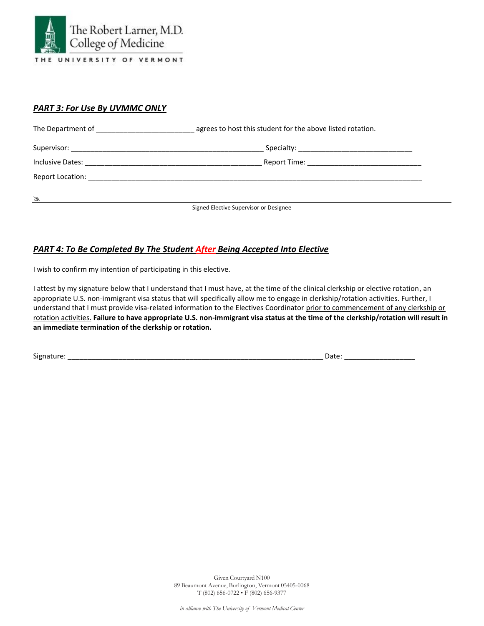

#### *PART 3: For Use By UVMMC ONLY*

|                      | agrees to host this student for the above listed rotation. |  |  |
|----------------------|------------------------------------------------------------|--|--|
|                      |                                                            |  |  |
|                      | Report Time: ________________________________              |  |  |
|                      |                                                            |  |  |
| $\frac{1}{\sqrt{2}}$ |                                                            |  |  |
|                      | Signed Elective Supervisor or Designee                     |  |  |

## *PART 4: To Be Completed By The Student After Being Accepted Into Elective*

I wish to confirm my intention of participating in this elective.

I attest by my signature below that I understand that I must have, at the time of the clinical clerkship or elective rotation, an appropriate U.S. non-immigrant visa status that will specifically allow me to engage in clerkship/rotation activities. Further, I understand that I must provide visa-related information to the Electives Coordinator prior to commencement of any clerkship or rotation activities. **Failure to have appropriate U.S. non-immigrant visa status at the time of the clerkship/rotation will result in an immediate termination of the clerkship or rotation.**

Signature: \_\_\_\_\_\_\_\_\_\_\_\_\_\_\_\_\_\_\_\_\_\_\_\_\_\_\_\_\_\_\_\_\_\_\_\_\_\_\_\_\_\_\_\_\_\_\_\_\_\_\_\_\_\_\_\_\_\_\_\_\_\_\_\_\_ Date: \_\_\_\_\_\_\_\_\_\_\_\_\_\_\_\_\_\_

Given Courtyard N100 89 Beaumont Avenue, Burlington, Vermont 05405-0068 T (802) 656-0722 • F (802) 656-9377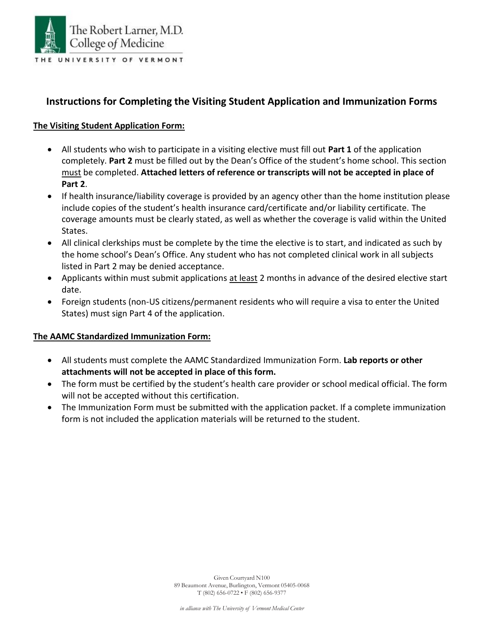

## **Instructions for Completing the Visiting Student Application and Immunization Forms**

## **The Visiting Student Application Form:**

- All students who wish to participate in a visiting elective must fill out **Part 1** of the application completely. **Part 2** must be filled out by the Dean's Office of the student's home school. This section must be completed. **Attached letters of reference or transcripts will not be accepted in place of Part 2**.
- If health insurance/liability coverage is provided by an agency other than the home institution please include copies of the student's health insurance card/certificate and/or liability certificate. The coverage amounts must be clearly stated, as well as whether the coverage is valid within the United States.
- All clinical clerkships must be complete by the time the elective is to start, and indicated as such by the home school's Dean's Office. Any student who has not completed clinical work in all subjects listed in Part 2 may be denied acceptance.
- Applicants within must submit applications at least 2 months in advance of the desired elective start date.
- Foreign students (non-US citizens/permanent residents who will require a visa to enter the United States) must sign Part 4 of the application.

#### **The AAMC Standardized Immunization Form:**

- All students must complete the AAMC Standardized Immunization Form. **Lab reports or other attachments will not be accepted in place of this form.**
- The form must be certified by the student's health care provider or school medical official. The form will not be accepted without this certification.
- The Immunization Form must be submitted with the application packet. If a complete immunization form is not included the application materials will be returned to the student.